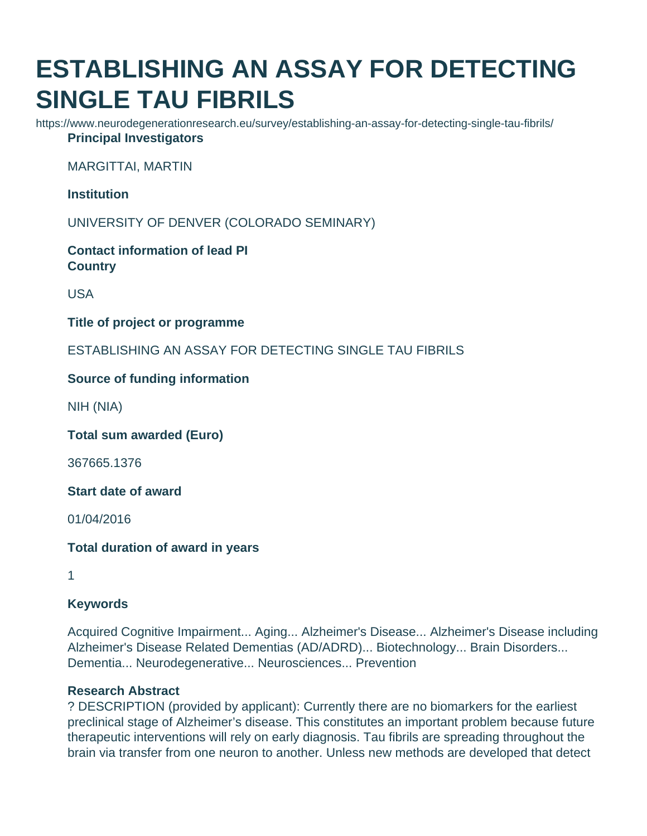# **ESTABLISHING AN ASSAY FOR DETECTING SINGLE TAU FIBRILS**

https://www.neurodegenerationresearch.eu/survey/establishing-an-assay-for-detecting-single-tau-fibrils/ **Principal Investigators**

MARGITTAI, MARTIN

**Institution**

UNIVERSITY OF DENVER (COLORADO SEMINARY)

**Contact information of lead PI Country**

USA

**Title of project or programme**

ESTABLISHING AN ASSAY FOR DETECTING SINGLE TAU FIBRILS

## **Source of funding information**

NIH (NIA)

**Total sum awarded (Euro)**

367665.1376

**Start date of award**

01/04/2016

**Total duration of award in years**

1

## **Keywords**

Acquired Cognitive Impairment... Aging... Alzheimer's Disease... Alzheimer's Disease including Alzheimer's Disease Related Dementias (AD/ADRD)... Biotechnology... Brain Disorders... Dementia... Neurodegenerative... Neurosciences... Prevention

## **Research Abstract**

? DESCRIPTION (provided by applicant): Currently there are no biomarkers for the earliest preclinical stage of Alzheimer's disease. This constitutes an important problem because future therapeutic interventions will rely on early diagnosis. Tau fibrils are spreading throughout the brain via transfer from one neuron to another. Unless new methods are developed that detect